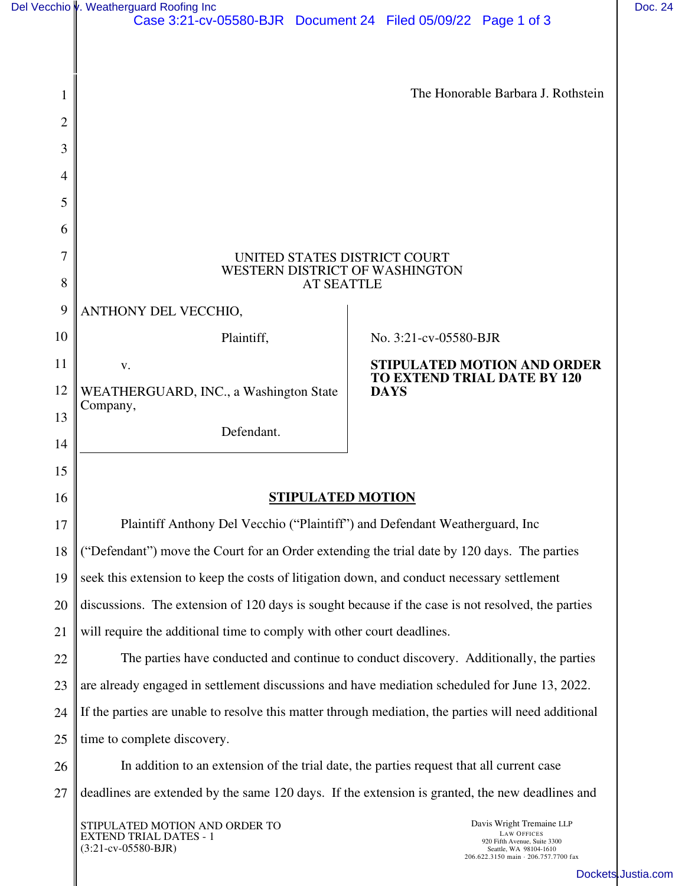|                | Del Vecchio v. Weatherguard Roofing Inc<br>Case 3:21-cv-05580-BJR  Document 24  Filed 05/09/22  Page 1 of 3 |                                                                                                                                                   | Doc. 24 |  |  |  |  |  |
|----------------|-------------------------------------------------------------------------------------------------------------|---------------------------------------------------------------------------------------------------------------------------------------------------|---------|--|--|--|--|--|
|                |                                                                                                             |                                                                                                                                                   |         |  |  |  |  |  |
|                |                                                                                                             |                                                                                                                                                   |         |  |  |  |  |  |
| 1              | The Honorable Barbara J. Rothstein                                                                          |                                                                                                                                                   |         |  |  |  |  |  |
| $\overline{2}$ |                                                                                                             |                                                                                                                                                   |         |  |  |  |  |  |
| 3              |                                                                                                             |                                                                                                                                                   |         |  |  |  |  |  |
| 4              |                                                                                                             |                                                                                                                                                   |         |  |  |  |  |  |
| 5              |                                                                                                             |                                                                                                                                                   |         |  |  |  |  |  |
| 6              |                                                                                                             |                                                                                                                                                   |         |  |  |  |  |  |
| 7              | UNITED STATES DISTRICT COURT                                                                                |                                                                                                                                                   |         |  |  |  |  |  |
| 8              | WESTERN DISTRICT OF WASHINGTON<br><b>AT SEATTLE</b>                                                         |                                                                                                                                                   |         |  |  |  |  |  |
| 9              | ANTHONY DEL VECCHIO,                                                                                        |                                                                                                                                                   |         |  |  |  |  |  |
| 10             | Plaintiff,                                                                                                  | No. 3:21-cv-05580-BJR                                                                                                                             |         |  |  |  |  |  |
| 11             | V.                                                                                                          | <b>STIPULATED MOTION AND ORDER</b>                                                                                                                |         |  |  |  |  |  |
| 12             | WEATHERGUARD, INC., a Washington State                                                                      | <b>TO EXTEND TRIAL DATE BY 120</b><br><b>DAYS</b>                                                                                                 |         |  |  |  |  |  |
| 13             | Company,                                                                                                    |                                                                                                                                                   |         |  |  |  |  |  |
| 14             | Defendant.                                                                                                  |                                                                                                                                                   |         |  |  |  |  |  |
| 15             |                                                                                                             |                                                                                                                                                   |         |  |  |  |  |  |
| 16             | <b>STIPULATED MOTION</b>                                                                                    |                                                                                                                                                   |         |  |  |  |  |  |
| 17             | Plaintiff Anthony Del Vecchio ("Plaintiff") and Defendant Weatherguard, Inc                                 |                                                                                                                                                   |         |  |  |  |  |  |
| 18             | ("Defendant") move the Court for an Order extending the trial date by 120 days. The parties                 |                                                                                                                                                   |         |  |  |  |  |  |
| 19             | seek this extension to keep the costs of litigation down, and conduct necessary settlement                  |                                                                                                                                                   |         |  |  |  |  |  |
| 20             | discussions. The extension of 120 days is sought because if the case is not resolved, the parties           |                                                                                                                                                   |         |  |  |  |  |  |
| 21             | will require the additional time to comply with other court deadlines.                                      |                                                                                                                                                   |         |  |  |  |  |  |
| 22             | The parties have conducted and continue to conduct discovery. Additionally, the parties                     |                                                                                                                                                   |         |  |  |  |  |  |
| 23             | are already engaged in settlement discussions and have mediation scheduled for June 13, 2022.               |                                                                                                                                                   |         |  |  |  |  |  |
| 24             | If the parties are unable to resolve this matter through mediation, the parties will need additional        |                                                                                                                                                   |         |  |  |  |  |  |
| 25             | time to complete discovery.                                                                                 |                                                                                                                                                   |         |  |  |  |  |  |
| 26             | In addition to an extension of the trial date, the parties request that all current case                    |                                                                                                                                                   |         |  |  |  |  |  |
| 27             | deadlines are extended by the same 120 days. If the extension is granted, the new deadlines and             |                                                                                                                                                   |         |  |  |  |  |  |
|                | STIPULATED MOTION AND ORDER TO<br><b>EXTEND TRIAL DATES - 1</b><br>$(3:21-cv-05580-BJR)$                    | Davis Wright Tremaine LLP<br><b>LAW OFFICES</b><br>920 Fifth Avenue, Suite 3300<br>Seattle, WA 98104-1610<br>206.622.3150 main · 206.757.7700 fax |         |  |  |  |  |  |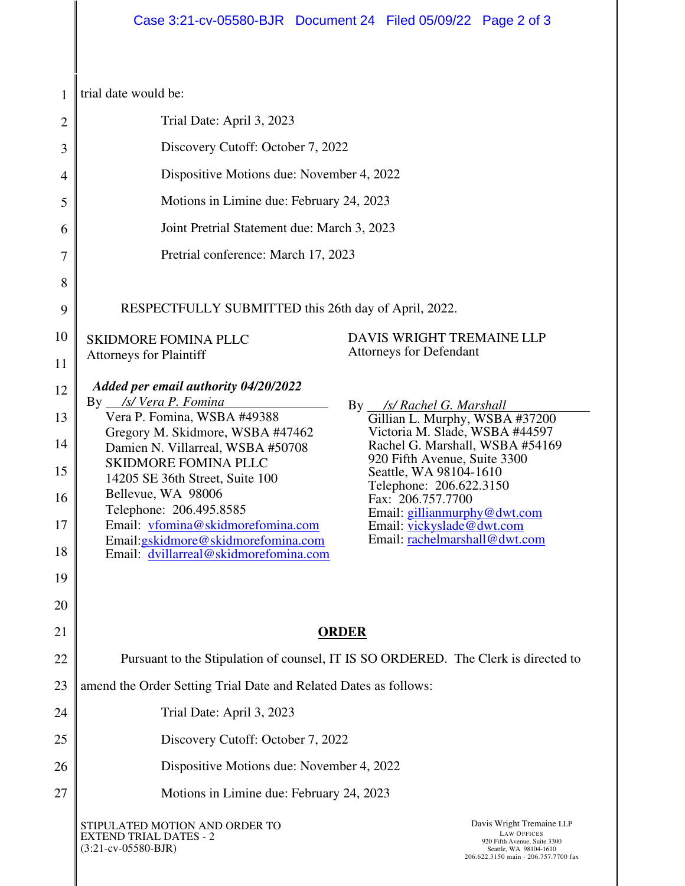| 1              | trial date would be:                                                                                                                                                                                                                          |  |  |  |  |  |  |  |
|----------------|-----------------------------------------------------------------------------------------------------------------------------------------------------------------------------------------------------------------------------------------------|--|--|--|--|--|--|--|
| $\overline{2}$ | Trial Date: April 3, 2023                                                                                                                                                                                                                     |  |  |  |  |  |  |  |
| 3              | Discovery Cutoff: October 7, 2022                                                                                                                                                                                                             |  |  |  |  |  |  |  |
| 4              | Dispositive Motions due: November 4, 2022                                                                                                                                                                                                     |  |  |  |  |  |  |  |
| 5              | Motions in Limine due: February 24, 2023                                                                                                                                                                                                      |  |  |  |  |  |  |  |
| 6              | Joint Pretrial Statement due: March 3, 2023                                                                                                                                                                                                   |  |  |  |  |  |  |  |
| 7              | Pretrial conference: March 17, 2023                                                                                                                                                                                                           |  |  |  |  |  |  |  |
| 8              |                                                                                                                                                                                                                                               |  |  |  |  |  |  |  |
| 9              | RESPECTFULLY SUBMITTED this 26th day of April, 2022.                                                                                                                                                                                          |  |  |  |  |  |  |  |
| 10             | DAVIS WRIGHT TREMAINE LLP<br><b>SKIDMORE FOMINA PLLC</b>                                                                                                                                                                                      |  |  |  |  |  |  |  |
| 11             | <b>Attorneys for Defendant</b><br><b>Attorneys for Plaintiff</b>                                                                                                                                                                              |  |  |  |  |  |  |  |
| 12             | Added per email authority 04/20/2022<br>By __/s/ Vera P. Fomina                                                                                                                                                                               |  |  |  |  |  |  |  |
| 13             | By __ /s/ Rachel G. Marshall<br>Vera P. Fomina, WSBA #49388<br>Gillian L. Murphy, WSBA #37200                                                                                                                                                 |  |  |  |  |  |  |  |
| 14             | Victoria M. Slade, WSBA #44597<br>Gregory M. Skidmore, WSBA #47462<br>Rachel G. Marshall, WSBA #54169<br>Damien N. Villarreal, WSBA #50708                                                                                                    |  |  |  |  |  |  |  |
| 15             | 920 Fifth Avenue, Suite 3300<br><b>SKIDMORE FOMINA PLLC</b><br>Seattle, WA 98104-1610<br>14205 SE 36th Street, Suite 100                                                                                                                      |  |  |  |  |  |  |  |
| 16             | Telephone: 206.622.3150<br>Bellevue, WA 98006<br>Fax: 206.757.7700<br>Telephone: 206.495.8585                                                                                                                                                 |  |  |  |  |  |  |  |
| 17             | Email: gillianmurphy@dwt.com<br>Email: vfomina@skidmorefomina.com<br>Email: vickyslade@dwt.com                                                                                                                                                |  |  |  |  |  |  |  |
| 18             | Email: rachelmarshall@dwt.com<br>Email: gskidmore@skidmorefomina.com<br>Email: dvillarreal@skidmorefomina.com                                                                                                                                 |  |  |  |  |  |  |  |
| 19             |                                                                                                                                                                                                                                               |  |  |  |  |  |  |  |
| 20             |                                                                                                                                                                                                                                               |  |  |  |  |  |  |  |
| 21             | <b>ORDER</b>                                                                                                                                                                                                                                  |  |  |  |  |  |  |  |
| 22             | Pursuant to the Stipulation of counsel, IT IS SO ORDERED. The Clerk is directed to                                                                                                                                                            |  |  |  |  |  |  |  |
| 23             | amend the Order Setting Trial Date and Related Dates as follows:                                                                                                                                                                              |  |  |  |  |  |  |  |
| 24             | Trial Date: April 3, 2023                                                                                                                                                                                                                     |  |  |  |  |  |  |  |
| 25             | Discovery Cutoff: October 7, 2022                                                                                                                                                                                                             |  |  |  |  |  |  |  |
| 26             | Dispositive Motions due: November 4, 2022                                                                                                                                                                                                     |  |  |  |  |  |  |  |
| 27             | Motions in Limine due: February 24, 2023                                                                                                                                                                                                      |  |  |  |  |  |  |  |
|                | Davis Wright Tremaine LLP<br>STIPULATED MOTION AND ORDER TO<br><b>LAW OFFICES</b><br><b>EXTEND TRIAL DATES - 2</b><br>920 Fifth Avenue, Suite 3300<br>$(3:21-cv-05580-BJR)$<br>Seattle, WA 98104-1610<br>206.622.3150 main · 206.757.7700 fax |  |  |  |  |  |  |  |